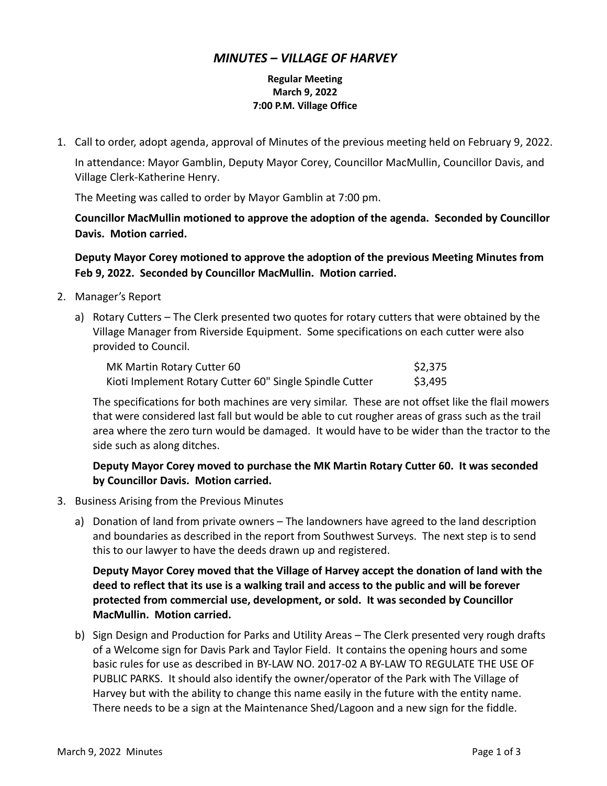## *MINUTES – VILLAGE OF HARVEY*

## **Regular Meeting March 9, 2022 7:00 P.M. Village Office**

1. Call to order, adopt agenda, approval of Minutes of the previous meeting held on February 9, 2022.

In attendance: Mayor Gamblin, Deputy Mayor Corey, Councillor MacMullin, Councillor Davis, and Village Clerk-Katherine Henry.

The Meeting was called to order by Mayor Gamblin at 7:00 pm.

**Councillor MacMullin motioned to approve the adoption of the agenda. Seconded by Councillor Davis. Motion carried.**

**Deputy Mayor Corey motioned to approve the adoption of the previous Meeting Minutes from Feb 9, 2022. Seconded by Councillor MacMullin. Motion carried.**

- 2. Manager's Report
	- a) Rotary Cutters The Clerk presented two quotes for rotary cutters that were obtained by the Village Manager from Riverside Equipment. Some specifications on each cutter were also provided to Council.

| MK Martin Rotary Cutter 60                              | \$2,375 |
|---------------------------------------------------------|---------|
| Kioti Implement Rotary Cutter 60" Single Spindle Cutter | \$3,495 |

The specifications for both machines are very similar. These are not offset like the flail mowers that were considered last fall but would be able to cut rougher areas of grass such as the trail area where the zero turn would be damaged. It would have to be wider than the tractor to the side such as along ditches.

## **Deputy Mayor Corey moved to purchase the MK Martin Rotary Cutter 60. It was seconded by Councillor Davis. Motion carried.**

- 3. Business Arising from the Previous Minutes
	- a) Donation of land from private owners The landowners have agreed to the land description and boundaries as described in the report from Southwest Surveys. The next step is to send this to our lawyer to have the deeds drawn up and registered.

**Deputy Mayor Corey moved that the Village of Harvey accept the donation of land with the deed to reflect that its use is a walking trail and access to the public and will be forever protected from commercial use, development, or sold. It was seconded by Councillor MacMullin. Motion carried.**

b) Sign Design and Production for Parks and Utility Areas – The Clerk presented very rough drafts of a Welcome sign for Davis Park and Taylor Field. It contains the opening hours and some basic rules for use as described in BY-LAW NO. 2017-02 A BY-LAW TO REGULATE THE USE OF PUBLIC PARKS. It should also identify the owner/operator of the Park with The Village of Harvey but with the ability to change this name easily in the future with the entity name. There needs to be a sign at the Maintenance Shed/Lagoon and a new sign for the fiddle.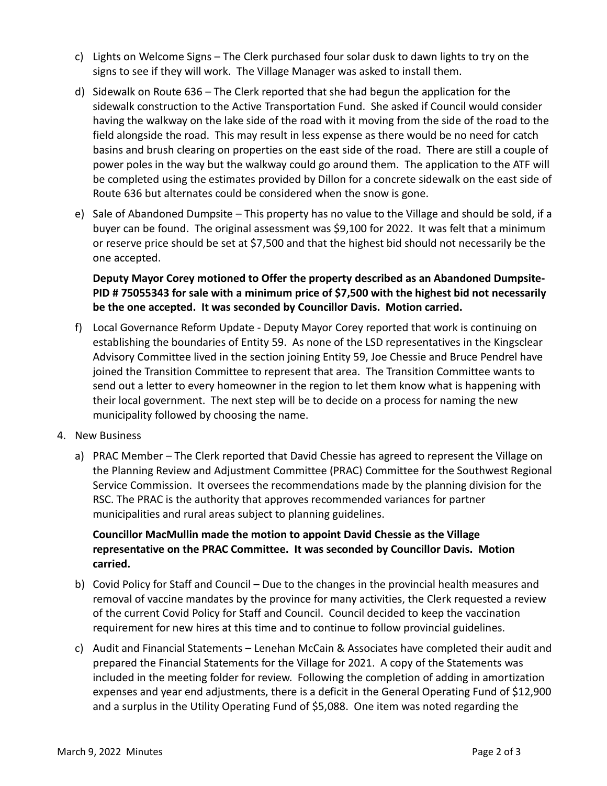- c) Lights on Welcome Signs The Clerk purchased four solar dusk to dawn lights to try on the signs to see if they will work. The Village Manager was asked to install them.
- d) Sidewalk on Route 636 The Clerk reported that she had begun the application for the sidewalk construction to the Active Transportation Fund. She asked if Council would consider having the walkway on the lake side of the road with it moving from the side of the road to the field alongside the road. This may result in less expense as there would be no need for catch basins and brush clearing on properties on the east side of the road. There are still a couple of power poles in the way but the walkway could go around them. The application to the ATF will be completed using the estimates provided by Dillon for a concrete sidewalk on the east side of Route 636 but alternates could be considered when the snow is gone.
- e) Sale of Abandoned Dumpsite This property has no value to the Village and should be sold, if a buyer can be found. The original assessment was \$9,100 for 2022. It was felt that a minimum or reserve price should be set at \$7,500 and that the highest bid should not necessarily be the one accepted.

**Deputy Mayor Corey motioned to Offer the property described as an Abandoned Dumpsite-PID # 75055343 for sale with a minimum price of \$7,500 with the highest bid not necessarily be the one accepted. It was seconded by Councillor Davis. Motion carried.**

- f) Local Governance Reform Update Deputy Mayor Corey reported that work is continuing on establishing the boundaries of Entity 59. As none of the LSD representatives in the Kingsclear Advisory Committee lived in the section joining Entity 59, Joe Chessie and Bruce Pendrel have joined the Transition Committee to represent that area. The Transition Committee wants to send out a letter to every homeowner in the region to let them know what is happening with their local government. The next step will be to decide on a process for naming the new municipality followed by choosing the name.
- 4. New Business
	- a) PRAC Member The Clerk reported that David Chessie has agreed to represent the Village on the Planning Review and Adjustment Committee (PRAC) Committee for the Southwest Regional Service Commission. It oversees the recommendations made by the planning division for the RSC. The PRAC is the authority that approves recommended variances for partner municipalities and rural areas subject to planning guidelines.

## **Councillor MacMullin made the motion to appoint David Chessie as the Village representative on the PRAC Committee. It was seconded by Councillor Davis. Motion carried.**

- b) Covid Policy for Staff and Council Due to the changes in the provincial health measures and removal of vaccine mandates by the province for many activities, the Clerk requested a review of the current Covid Policy for Staff and Council. Council decided to keep the vaccination requirement for new hires at this time and to continue to follow provincial guidelines.
- c) Audit and Financial Statements Lenehan McCain & Associates have completed their audit and prepared the Financial Statements for the Village for 2021. A copy of the Statements was included in the meeting folder for review. Following the completion of adding in amortization expenses and year end adjustments, there is a deficit in the General Operating Fund of \$12,900 and a surplus in the Utility Operating Fund of \$5,088. One item was noted regarding the